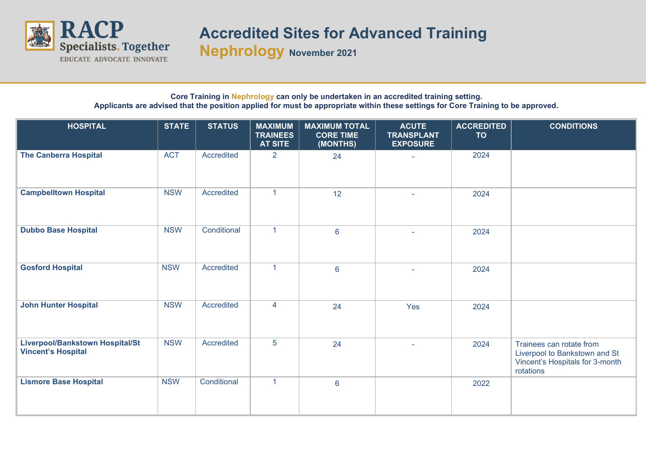

## **Accredited Sites for Advanced Training**

**Nephrology November <sup>2021</sup>**

## **Core Training in Nephrology can only be undertaken in an accredited training setting. Applicants are advised that the position applied for must be appropriate within these settings for Core Training to be approved.**

| <b>HOSPITAL</b>                                              | <b>STATE</b> | <b>STATUS</b> | <b>MAXIMUM</b><br><b>TRAINEES</b><br><b>AT SITE</b> | <b>MAXIMUM TOTAL</b><br><b>CORE TIME</b><br>(MONTHS) | <b>ACUTE</b><br><b>TRANSPLANT</b><br><b>EXPOSURE</b> | <b>ACCREDITED</b><br><b>TO</b> | <b>CONDITIONS</b>                                                                                         |
|--------------------------------------------------------------|--------------|---------------|-----------------------------------------------------|------------------------------------------------------|------------------------------------------------------|--------------------------------|-----------------------------------------------------------------------------------------------------------|
| <b>The Canberra Hospital</b>                                 | <b>ACT</b>   | Accredited    | $\overline{2}$                                      | 24                                                   |                                                      | 2024                           |                                                                                                           |
| <b>Campbelltown Hospital</b>                                 | <b>NSW</b>   | Accredited    | $\mathbf{1}$                                        | 12                                                   |                                                      | 2024                           |                                                                                                           |
| <b>Dubbo Base Hospital</b>                                   | <b>NSW</b>   | Conditional   | $\blacktriangleleft$                                | $6\phantom{a}$                                       | ÷.                                                   | 2024                           |                                                                                                           |
| <b>Gosford Hospital</b>                                      | <b>NSW</b>   | Accredited    | $\mathbf{1}$                                        | $6\,$                                                |                                                      | 2024                           |                                                                                                           |
| <b>John Hunter Hospital</b>                                  | <b>NSW</b>   | Accredited    | $\overline{4}$                                      | 24                                                   | Yes                                                  | 2024                           |                                                                                                           |
| Liverpool/Bankstown Hospital/St<br><b>Vincent's Hospital</b> | <b>NSW</b>   | Accredited    | $\overline{5}$                                      | 24                                                   |                                                      | 2024                           | Trainees can rotate from<br>Liverpool to Bankstown and St<br>Vincent's Hospitals for 3-month<br>rotations |
| <b>Lismore Base Hospital</b>                                 | <b>NSW</b>   | Conditional   | $\blacktriangleleft$                                | $6\phantom{a}$                                       |                                                      | 2022                           |                                                                                                           |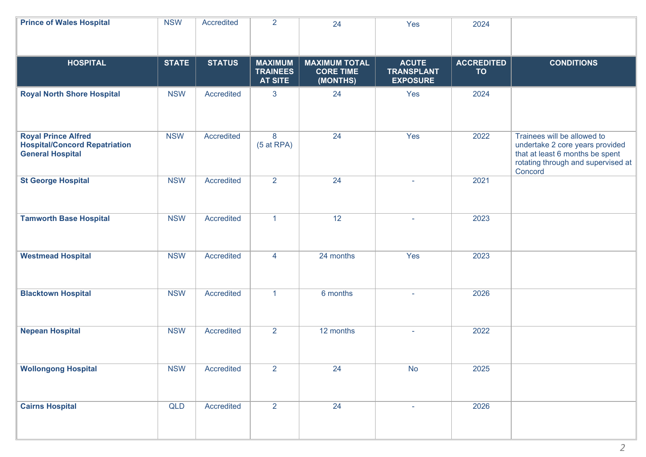| <b>Prince of Wales Hospital</b>                                                               | <b>NSW</b>   | Accredited    | $\overline{2}$                                      | 24                                                   | Yes                                                  | 2024                           |                                                                                                                                                    |
|-----------------------------------------------------------------------------------------------|--------------|---------------|-----------------------------------------------------|------------------------------------------------------|------------------------------------------------------|--------------------------------|----------------------------------------------------------------------------------------------------------------------------------------------------|
| <b>HOSPITAL</b>                                                                               | <b>STATE</b> | <b>STATUS</b> | <b>MAXIMUM</b><br><b>TRAINEES</b><br><b>AT SITE</b> | <b>MAXIMUM TOTAL</b><br><b>CORE TIME</b><br>(MONTHS) | <b>ACUTE</b><br><b>TRANSPLANT</b><br><b>EXPOSURE</b> | <b>ACCREDITED</b><br><b>TO</b> | <b>CONDITIONS</b>                                                                                                                                  |
| <b>Royal North Shore Hospital</b>                                                             | <b>NSW</b>   | Accredited    | 3                                                   | 24                                                   | Yes                                                  | 2024                           |                                                                                                                                                    |
| <b>Royal Prince Alfred</b><br><b>Hospital/Concord Repatriation</b><br><b>General Hospital</b> | <b>NSW</b>   | Accredited    | 8<br>$(5$ at RPA)                                   | 24                                                   | Yes                                                  | 2022                           | Trainees will be allowed to<br>undertake 2 core years provided<br>that at least 6 months be spent<br>rotating through and supervised at<br>Concord |
| <b>St George Hospital</b>                                                                     | <b>NSW</b>   | Accredited    | $\overline{2}$                                      | 24                                                   |                                                      | 2021                           |                                                                                                                                                    |
| <b>Tamworth Base Hospital</b>                                                                 | <b>NSW</b>   | Accredited    | $\mathbf{1}$                                        | 12                                                   |                                                      | 2023                           |                                                                                                                                                    |
| <b>Westmead Hospital</b>                                                                      | <b>NSW</b>   | Accredited    | 4                                                   | 24 months                                            | Yes                                                  | 2023                           |                                                                                                                                                    |
| <b>Blacktown Hospital</b>                                                                     | <b>NSW</b>   | Accredited    | $\mathbf{1}$                                        | 6 months                                             | $\sim$                                               | 2026                           |                                                                                                                                                    |
| <b>Nepean Hospital</b>                                                                        | <b>NSW</b>   | Accredited    | $\overline{2}$                                      | 12 months                                            |                                                      | 2022                           |                                                                                                                                                    |
| <b>Wollongong Hospital</b>                                                                    | <b>NSW</b>   | Accredited    | $\overline{2}$                                      | 24                                                   | No                                                   | 2025                           |                                                                                                                                                    |
| <b>Cairns Hospital</b>                                                                        | QLD          | Accredited    | $\overline{2}$                                      | 24                                                   |                                                      | 2026                           |                                                                                                                                                    |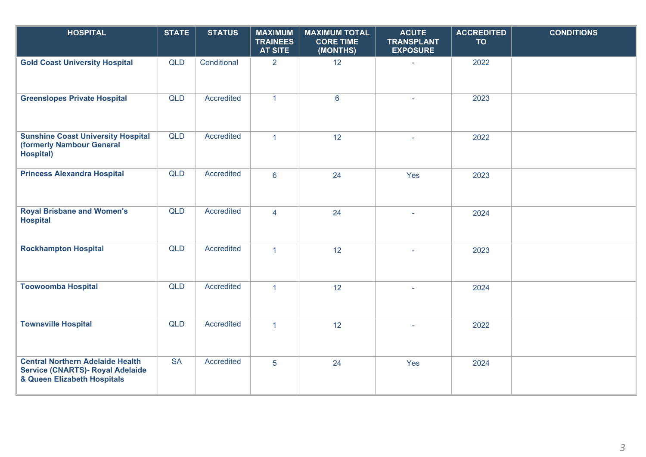| <b>HOSPITAL</b>                                                                                                   | <b>STATE</b> | <b>STATUS</b> | <b>MAXIMUM</b><br><b>TRAINEES</b><br><b>AT SITE</b> | <b>MAXIMUM TOTAL</b><br><b>CORE TIME</b><br>(MONTHS) | <b>ACUTE</b><br><b>TRANSPLANT</b><br><b>EXPOSURE</b> | <b>ACCREDITED</b><br><b>TO</b> | <b>CONDITIONS</b> |
|-------------------------------------------------------------------------------------------------------------------|--------------|---------------|-----------------------------------------------------|------------------------------------------------------|------------------------------------------------------|--------------------------------|-------------------|
| <b>Gold Coast University Hospital</b>                                                                             | <b>QLD</b>   | Conditional   | $\overline{2}$                                      | 12 <sup>°</sup>                                      |                                                      | 2022                           |                   |
| <b>Greenslopes Private Hospital</b>                                                                               | <b>QLD</b>   | Accredited    | $\mathbf{1}$                                        | $6\phantom{1}$                                       |                                                      | 2023                           |                   |
| <b>Sunshine Coast University Hospital</b><br>(formerly Nambour General<br>Hospital)                               | <b>QLD</b>   | Accredited    | $\overline{1}$                                      | 12                                                   | $\sim$                                               | 2022                           |                   |
| <b>Princess Alexandra Hospital</b>                                                                                | <b>QLD</b>   | Accredited    | $6\phantom{a}$                                      | 24                                                   | Yes                                                  | 2023                           |                   |
| <b>Royal Brisbane and Women's</b><br><b>Hospital</b>                                                              | <b>QLD</b>   | Accredited    | $\overline{4}$                                      | 24                                                   |                                                      | 2024                           |                   |
| <b>Rockhampton Hospital</b>                                                                                       | <b>QLD</b>   | Accredited    | $\mathbf{1}$                                        | 12                                                   |                                                      | 2023                           |                   |
| <b>Toowoomba Hospital</b>                                                                                         | QLD          | Accredited    | $\overline{1}$                                      | 12                                                   |                                                      | 2024                           |                   |
| <b>Townsville Hospital</b>                                                                                        | <b>QLD</b>   | Accredited    | $\mathbf{1}$                                        | 12                                                   |                                                      | 2022                           |                   |
| <b>Central Northern Adelaide Health</b><br><b>Service (CNARTS)- Royal Adelaide</b><br>& Queen Elizabeth Hospitals | <b>SA</b>    | Accredited    | 5 <sup>5</sup>                                      | 24                                                   | Yes                                                  | 2024                           |                   |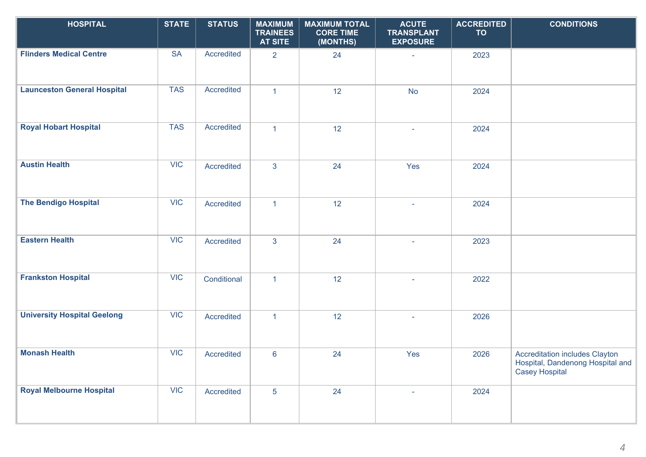| <b>HOSPITAL</b>                    | <b>STATE</b> | <b>STATUS</b> | <b>MAXIMUM</b><br><b>TRAINEES</b><br><b>AT SITE</b> | <b>MAXIMUM TOTAL</b><br><b>CORE TIME</b><br>(MONTHS) | <b>ACUTE</b><br><b>TRANSPLANT</b><br><b>EXPOSURE</b> | <b>ACCREDITED</b><br><b>TO</b> | <b>CONDITIONS</b>                                                                                  |
|------------------------------------|--------------|---------------|-----------------------------------------------------|------------------------------------------------------|------------------------------------------------------|--------------------------------|----------------------------------------------------------------------------------------------------|
| <b>Flinders Medical Centre</b>     | <b>SA</b>    | Accredited    | $\overline{2}$                                      | 24                                                   | $\sim$                                               | 2023                           |                                                                                                    |
| <b>Launceston General Hospital</b> | <b>TAS</b>   | Accredited    | $\mathbf{1}$                                        | 12                                                   | <b>No</b>                                            | 2024                           |                                                                                                    |
| <b>Royal Hobart Hospital</b>       | <b>TAS</b>   | Accredited    | $\mathbf{1}$                                        | 12                                                   | $\sim$                                               | 2024                           |                                                                                                    |
| <b>Austin Health</b>               | <b>VIC</b>   | Accredited    | $\overline{3}$                                      | 24                                                   | Yes                                                  | 2024                           |                                                                                                    |
| <b>The Bendigo Hospital</b>        | <b>VIC</b>   | Accredited    | $\mathbf{1}$                                        | 12                                                   | $\mathcal{L}$                                        | 2024                           |                                                                                                    |
| <b>Eastern Health</b>              | VIC          | Accredited    | $\overline{3}$                                      | 24                                                   |                                                      | 2023                           |                                                                                                    |
| <b>Frankston Hospital</b>          | <b>VIC</b>   | Conditional   | $\mathbf{1}$                                        | 12                                                   |                                                      | 2022                           |                                                                                                    |
| <b>University Hospital Geelong</b> | <b>VIC</b>   | Accredited    | $\mathbf{1}$                                        | 12                                                   | $\sim$                                               | 2026                           |                                                                                                    |
| <b>Monash Health</b>               | <b>VIC</b>   | Accredited    | $6\phantom{a}$                                      | 24                                                   | Yes                                                  | 2026                           | <b>Accreditation includes Clayton</b><br>Hospital, Dandenong Hospital and<br><b>Casey Hospital</b> |
| <b>Royal Melbourne Hospital</b>    | <b>VIC</b>   | Accredited    | $5\phantom{.0}$                                     | 24                                                   |                                                      | 2024                           |                                                                                                    |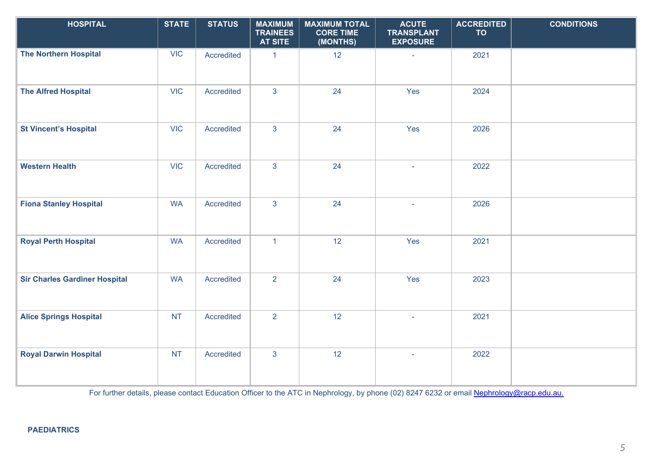| <b>HOSPITAL</b>                      | <b>STATE</b> | <b>STATUS</b> | <b>MAXIMUM</b><br><b>TRAINEES</b><br><b>AT SITE</b> | <b>MAXIMUM TOTAL</b><br><b>CORE TIME</b><br>(MONTHS) | <b>ACUTE</b><br><b>TRANSPLANT</b><br><b>EXPOSURE</b> | <b>ACCREDITED</b><br><b>TO</b> | <b>CONDITIONS</b> |
|--------------------------------------|--------------|---------------|-----------------------------------------------------|------------------------------------------------------|------------------------------------------------------|--------------------------------|-------------------|
| <b>The Northern Hospital</b>         | <b>VIC</b>   | Accredited    | $\mathbf 1$                                         | 12                                                   | $\sim$                                               | 2021                           |                   |
| <b>The Alfred Hospital</b>           | <b>VIC</b>   | Accredited    | $\mathbf{3}$                                        | 24                                                   | Yes                                                  | 2024                           |                   |
| <b>St Vincent's Hospital</b>         | <b>VIC</b>   | Accredited    | $\overline{3}$                                      | 24                                                   | Yes                                                  | 2026                           |                   |
| <b>Western Health</b>                | <b>VIC</b>   | Accredited    | $\overline{3}$                                      | 24                                                   | $\sim$                                               | 2022                           |                   |
| <b>Fiona Stanley Hospital</b>        | <b>WA</b>    | Accredited    | $\mathbf{3}$                                        | 24                                                   | $\sim$                                               | 2026                           |                   |
| <b>Royal Perth Hospital</b>          | <b>WA</b>    | Accredited    | $\mathbf{1}$                                        | 12                                                   | Yes                                                  | 2021                           |                   |
| <b>Sir Charles Gardiner Hospital</b> | <b>WA</b>    | Accredited    | $\overline{2}$                                      | 24                                                   | Yes                                                  | 2023                           |                   |
| <b>Alice Springs Hospital</b>        | <b>NT</b>    | Accredited    | $\overline{2}$                                      | 12                                                   |                                                      | 2021                           |                   |
| <b>Royal Darwin Hospital</b>         | <b>NT</b>    | Accredited    | $\mathbf{3}$                                        | 12                                                   | $\sim$                                               | 2022                           |                   |

For further details, please contact Education Officer to the ATC in Nephrology, by phone (02) 8247 6232 or email [Nephrology@racp.edu.au.](mailto:Nephrology@racp.edu.au)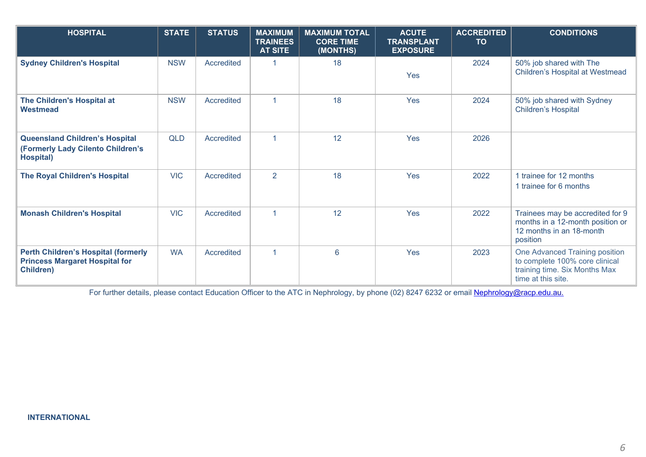| <b>HOSPITAL</b>                                                                                         | <b>STATE</b> | <b>STATUS</b> | <b>MAXIMUM</b><br><b>TRAINEES</b><br><b>AT SITE</b> | <b>MAXIMUM TOTAL</b><br><b>CORE TIME</b><br>(MONTHS) | <b>ACUTE</b><br><b>TRANSPLANT</b><br><b>EXPOSURE</b> | <b>ACCREDITED</b><br><b>TO</b> | <b>CONDITIONS</b>                                                                                                       |
|---------------------------------------------------------------------------------------------------------|--------------|---------------|-----------------------------------------------------|------------------------------------------------------|------------------------------------------------------|--------------------------------|-------------------------------------------------------------------------------------------------------------------------|
| <b>Sydney Children's Hospital</b>                                                                       | <b>NSW</b>   | Accredited    |                                                     | 18                                                   | Yes                                                  | 2024                           | 50% job shared with The<br>Children's Hospital at Westmead                                                              |
| The Children's Hospital at<br>Westmead                                                                  | <b>NSW</b>   | Accredited    |                                                     | 18                                                   | Yes                                                  | 2024                           | 50% job shared with Sydney<br><b>Children's Hospital</b>                                                                |
| <b>Queensland Children's Hospital</b><br>(Formerly Lady Cilento Children's<br>Hospital)                 | <b>QLD</b>   | Accredited    | $\overline{1}$                                      | 12                                                   | Yes                                                  | 2026                           |                                                                                                                         |
| <b>The Royal Children's Hospital</b>                                                                    | <b>VIC</b>   | Accredited    | $\overline{2}$                                      | 18                                                   | Yes                                                  | 2022                           | 1 trainee for 12 months<br>1 trainee for 6 months                                                                       |
| <b>Monash Children's Hospital</b>                                                                       | <b>VIC</b>   | Accredited    | $\overline{1}$                                      | 12                                                   | Yes                                                  | 2022                           | Trainees may be accredited for 9<br>months in a 12-month position or<br>12 months in an 18-month<br>position            |
| <b>Perth Children's Hospital (formerly</b><br><b>Princess Margaret Hospital for</b><br><b>Children)</b> | <b>WA</b>    | Accredited    |                                                     | 6                                                    | Yes                                                  | 2023                           | One Advanced Training position<br>to complete 100% core clinical<br>training time. Six Months Max<br>time at this site. |

For further details, please contact Education Officer to the ATC in Nephrology, by phone (02) 8247 6232 or email **Nephrology@racp.edu.au.**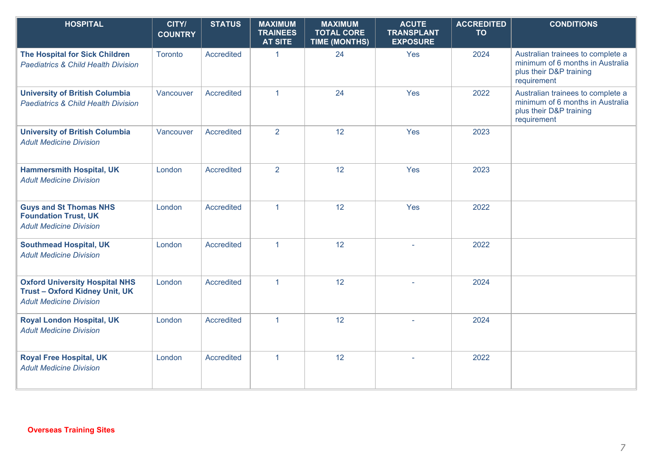| <b>HOSPITAL</b>                                                                                                | CITY/<br><b>COUNTRY</b> | <b>STATUS</b>     | <b>MAXIMUM</b><br><b>TRAINEES</b><br><b>AT SITE</b> | <b>MAXIMUM</b><br><b>TOTAL CORE</b><br><b>TIME (MONTHS)</b> | <b>ACUTE</b><br><b>TRANSPLANT</b><br><b>EXPOSURE</b> | <b>ACCREDITED</b><br><b>TO</b> | <b>CONDITIONS</b>                                                                                               |
|----------------------------------------------------------------------------------------------------------------|-------------------------|-------------------|-----------------------------------------------------|-------------------------------------------------------------|------------------------------------------------------|--------------------------------|-----------------------------------------------------------------------------------------------------------------|
| <b>The Hospital for Sick Children</b><br><b>Paediatrics &amp; Child Health Division</b>                        | Toronto                 | Accredited        | $\mathbf{1}$                                        | 24                                                          | Yes                                                  | 2024                           | Australian trainees to complete a<br>minimum of 6 months in Australia<br>plus their D&P training<br>requirement |
| <b>University of British Columbia</b><br><b>Paediatrics &amp; Child Health Division</b>                        | Vancouver               | Accredited        | $\mathbf{1}$                                        | 24                                                          | Yes                                                  | 2022                           | Australian trainees to complete a<br>minimum of 6 months in Australia<br>plus their D&P training<br>requirement |
| <b>University of British Columbia</b><br><b>Adult Medicine Division</b>                                        | Vancouver               | Accredited        | 2                                                   | 12                                                          | Yes                                                  | 2023                           |                                                                                                                 |
| <b>Hammersmith Hospital, UK</b><br><b>Adult Medicine Division</b>                                              | London                  | <b>Accredited</b> | 2                                                   | 12                                                          | Yes                                                  | 2023                           |                                                                                                                 |
| <b>Guys and St Thomas NHS</b><br><b>Foundation Trust, UK</b><br><b>Adult Medicine Division</b>                 | London                  | Accredited        | $\mathbf{1}$                                        | 12                                                          | Yes                                                  | 2022                           |                                                                                                                 |
| <b>Southmead Hospital, UK</b><br><b>Adult Medicine Division</b>                                                | London                  | Accredited        | $\mathbf{1}$                                        | 12                                                          |                                                      | 2022                           |                                                                                                                 |
| <b>Oxford University Hospital NHS</b><br><b>Trust-Oxford Kidney Unit, UK</b><br><b>Adult Medicine Division</b> | London                  | Accredited        | $\mathbf{1}$                                        | 12                                                          |                                                      | 2024                           |                                                                                                                 |
| <b>Royal London Hospital, UK</b><br><b>Adult Medicine Division</b>                                             | London                  | <b>Accredited</b> | $\overline{1}$                                      | 12                                                          |                                                      | 2024                           |                                                                                                                 |
| <b>Royal Free Hospital, UK</b><br><b>Adult Medicine Division</b>                                               | London                  | <b>Accredited</b> | $\mathbf{1}$                                        | 12                                                          | $\sim$                                               | 2022                           |                                                                                                                 |